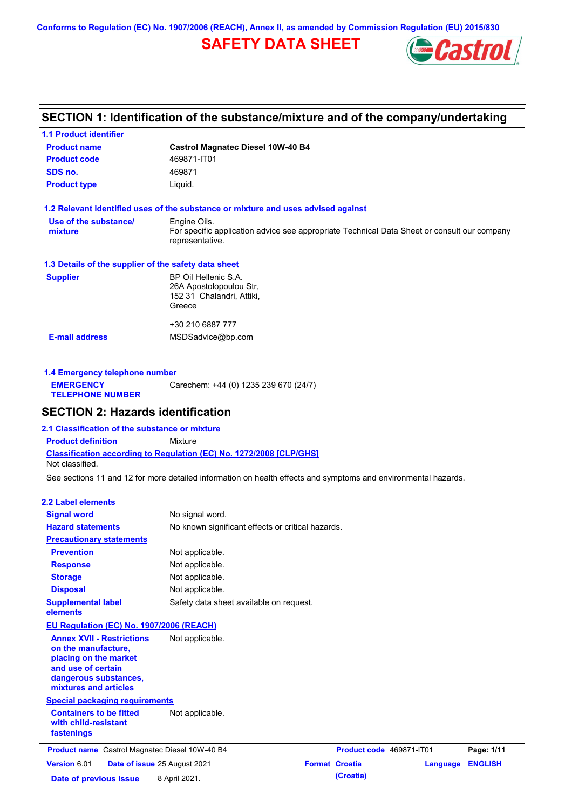**Conforms to Regulation (EC) No. 1907/2006 (REACH), Annex II, as amended by Commission Regulation (EU) 2015/830**

# **SAFETY DATA SHEET**



## **SECTION 1: Identification of the substance/mixture and of the company/undertaking**

| <b>1.1 Product identifier</b>                        |                                                                                                                |
|------------------------------------------------------|----------------------------------------------------------------------------------------------------------------|
| <b>Product name</b>                                  | <b>Castrol Magnatec Diesel 10W-40 B4</b>                                                                       |
| <b>Product code</b>                                  | 469871-IT01                                                                                                    |
| SDS no.                                              | 469871                                                                                                         |
| <b>Product type</b>                                  | Liquid.                                                                                                        |
|                                                      | 1.2 Relevant identified uses of the substance or mixture and uses advised against                              |
| Use of the substance/                                | Engine Oils.                                                                                                   |
| mixture                                              | For specific application advice see appropriate Technical Data Sheet or consult our company<br>representative. |
| 1.3 Details of the supplier of the safety data sheet |                                                                                                                |
| <b>Supplier</b>                                      | BP Oil Hellenic S.A.                                                                                           |
|                                                      | 26A Apostolopoulou Str,                                                                                        |
|                                                      | 152 31 Chalandri, Attiki,                                                                                      |
|                                                      | Greece                                                                                                         |
|                                                      | +30 210 6887 777                                                                                               |
|                                                      |                                                                                                                |

**1.4 Emergency telephone number EMERGENCY TELEPHONE NUMBER** Carechem: +44 (0) 1235 239 670 (24/7)

## **SECTION 2: Hazards identification**

**Classification according to Regulation (EC) No. 1272/2008 [CLP/GHS] 2.1 Classification of the substance or mixture Product definition** Mixture Not classified.

See sections 11 and 12 for more detailed information on health effects and symptoms and environmental hazards.

### **2.2 Label elements**

| <b>Signal word</b>                                                                                                                                       | No signal word.                                   |                          |          |                |
|----------------------------------------------------------------------------------------------------------------------------------------------------------|---------------------------------------------------|--------------------------|----------|----------------|
| <b>Hazard statements</b>                                                                                                                                 | No known significant effects or critical hazards. |                          |          |                |
| <b>Precautionary statements</b>                                                                                                                          |                                                   |                          |          |                |
| <b>Prevention</b>                                                                                                                                        | Not applicable.                                   |                          |          |                |
| <b>Response</b>                                                                                                                                          | Not applicable.                                   |                          |          |                |
| <b>Storage</b>                                                                                                                                           | Not applicable.                                   |                          |          |                |
| <b>Disposal</b>                                                                                                                                          | Not applicable.                                   |                          |          |                |
| <b>Supplemental label</b><br>elements                                                                                                                    | Safety data sheet available on request.           |                          |          |                |
| <b>EU Regulation (EC) No. 1907/2006 (REACH)</b>                                                                                                          |                                                   |                          |          |                |
| <b>Annex XVII - Restrictions</b><br>on the manufacture,<br>placing on the market<br>and use of certain<br>dangerous substances,<br>mixtures and articles | Not applicable.                                   |                          |          |                |
| <b>Special packaging requirements</b>                                                                                                                    |                                                   |                          |          |                |
| <b>Containers to be fitted</b><br>with child-resistant<br>fastenings                                                                                     | Not applicable.                                   |                          |          |                |
| <b>Product name</b> Castrol Magnatec Diesel 10W-40 B4                                                                                                    |                                                   | Product code 469871-IT01 |          | Page: 1/11     |
| Version 6.01                                                                                                                                             | Date of issue 25 August 2021                      | <b>Format Croatia</b>    | Language | <b>ENGLISH</b> |
| Date of previous issue                                                                                                                                   | 8 April 2021.                                     | (Croatia)                |          |                |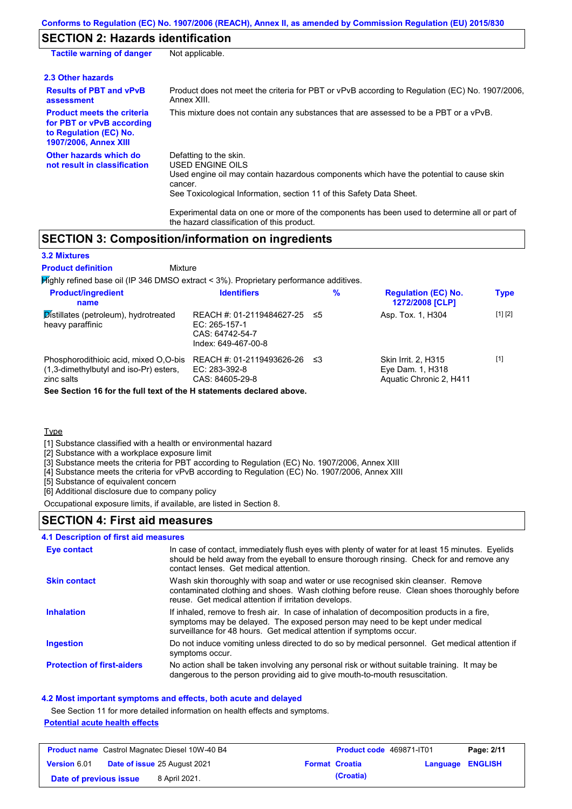## **SECTION 2: Hazards identification**

| <b>Tactile warning of danger</b>                                                                                         | Not applicable.                                                                                                                                                                                                                                                                                                                                                        |
|--------------------------------------------------------------------------------------------------------------------------|------------------------------------------------------------------------------------------------------------------------------------------------------------------------------------------------------------------------------------------------------------------------------------------------------------------------------------------------------------------------|
| 2.3 Other hazards                                                                                                        |                                                                                                                                                                                                                                                                                                                                                                        |
| <b>Results of PBT and vPvB</b><br>assessment                                                                             | Product does not meet the criteria for PBT or vPvB according to Regulation (EC) No. 1907/2006.<br>Annex XIII.                                                                                                                                                                                                                                                          |
| <b>Product meets the criteria</b><br>for PBT or vPvB according<br>to Regulation (EC) No.<br><b>1907/2006, Annex XIII</b> | This mixture does not contain any substances that are assessed to be a PBT or a vPvB.                                                                                                                                                                                                                                                                                  |
| Other hazards which do<br>not result in classification                                                                   | Defatting to the skin.<br>USED ENGINE OILS<br>Used engine oil may contain hazardous components which have the potential to cause skin<br>cancer.<br>See Toxicological Information, section 11 of this Safety Data Sheet.<br>Experimental data on one or more of the components has been used to determine all or part of<br>the hazard classification of this product. |

## **SECTION 3: Composition/information on ingredients**

Mixture

### **3.2 Mixtures**

### **Product definition**

Highly refined base oil (IP 346 DMSO extract < 3%). Proprietary performance additives.

| <b>Product/ingredient</b><br>name                                                                                                                                     | <b>Identifiers</b>                                                                   | %   | <b>Regulation (EC) No.</b><br>1272/2008 [CLP]                             | <b>Type</b> |
|-----------------------------------------------------------------------------------------------------------------------------------------------------------------------|--------------------------------------------------------------------------------------|-----|---------------------------------------------------------------------------|-------------|
| Distillates (petroleum), hydrotreated<br>heavy paraffinic                                                                                                             | REACH #: 01-2119484627-25<br>EC: 265-157-1<br>CAS: 64742-54-7<br>Index: 649-467-00-8 | -≤5 | Asp. Tox. 1, H304                                                         | [1] [2]     |
| Phosphorodithioic acid, mixed O,O-bis<br>(1,3-dimethylbutyl and iso-Pr) esters,<br>zinc salts<br>See Section 16 for the full text of the H statements declared above. | REACH #: 01-2119493626-26<br>EC: 283-392-8<br>CAS: 84605-29-8                        | ב≥  | <b>Skin Irrit. 2. H315</b><br>Eye Dam. 1, H318<br>Aquatic Chronic 2, H411 | $[1]$       |

Type

[1] Substance classified with a health or environmental hazard

[2] Substance with a workplace exposure limit

[3] Substance meets the criteria for PBT according to Regulation (EC) No. 1907/2006, Annex XIII

[4] Substance meets the criteria for vPvB according to Regulation (EC) No. 1907/2006, Annex XIII

[5] Substance of equivalent concern

[6] Additional disclosure due to company policy

Occupational exposure limits, if available, are listed in Section 8.

### **SECTION 4: First aid measures**

### **4.1 Description of first aid measures**

| <b>Eye contact</b>                | In case of contact, immediately flush eyes with plenty of water for at least 15 minutes. Eyelids<br>should be held away from the eyeball to ensure thorough rinsing. Check for and remove any<br>contact lenses. Get medical attention.             |
|-----------------------------------|-----------------------------------------------------------------------------------------------------------------------------------------------------------------------------------------------------------------------------------------------------|
| <b>Skin contact</b>               | Wash skin thoroughly with soap and water or use recognised skin cleanser. Remove<br>contaminated clothing and shoes. Wash clothing before reuse. Clean shoes thoroughly before<br>reuse. Get medical attention if irritation develops.              |
| <b>Inhalation</b>                 | If inhaled, remove to fresh air. In case of inhalation of decomposition products in a fire,<br>symptoms may be delayed. The exposed person may need to be kept under medical<br>surveillance for 48 hours. Get medical attention if symptoms occur. |
| <b>Ingestion</b>                  | Do not induce vomiting unless directed to do so by medical personnel. Get medical attention if<br>symptoms occur.                                                                                                                                   |
| <b>Protection of first-aiders</b> | No action shall be taken involving any personal risk or without suitable training. It may be<br>dangerous to the person providing aid to give mouth-to-mouth resuscitation.                                                                         |

### **4.2 Most important symptoms and effects, both acute and delayed**

See Section 11 for more detailed information on health effects and symptoms.

### **Potential acute health effects**

|                        | <b>Product name</b> Castrol Magnatec Diesel 10W-40 B4 | <b>Product code</b> 469871-IT01 |                  | Page: 2/11 |
|------------------------|-------------------------------------------------------|---------------------------------|------------------|------------|
| <b>Version 6.01</b>    | <b>Date of issue 25 August 2021</b>                   | <b>Format Croatia</b>           | Language ENGLISH |            |
| Date of previous issue | 8 April 2021.                                         | (Croatia)                       |                  |            |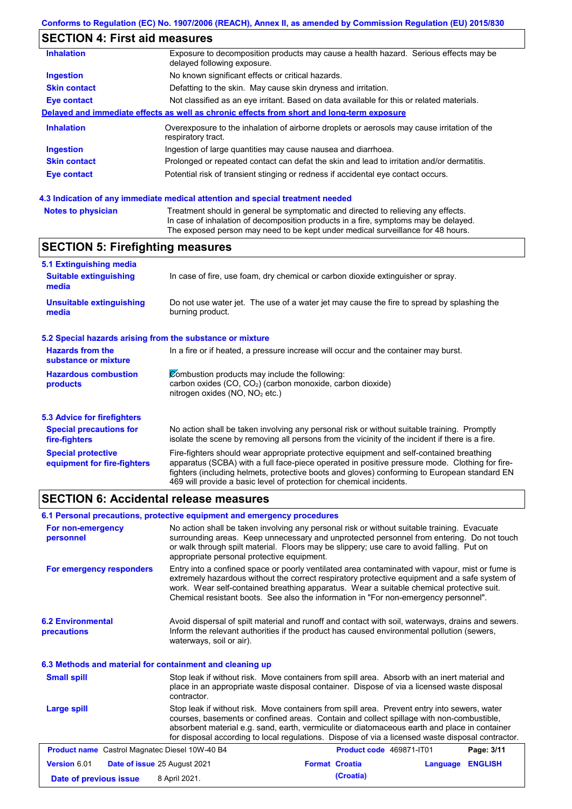# **SECTION 4: First aid measures**

| <b>Inhalation</b>   | Exposure to decomposition products may cause a health hazard. Serious effects may be<br>delayed following exposure. |
|---------------------|---------------------------------------------------------------------------------------------------------------------|
| <b>Ingestion</b>    | No known significant effects or critical hazards.                                                                   |
| <b>Skin contact</b> | Defatting to the skin. May cause skin dryness and irritation.                                                       |
| Eye contact         | Not classified as an eye irritant. Based on data available for this or related materials.                           |
|                     | Delayed and immediate effects as well as chronic effects from short and long-term exposure                          |
| <b>Inhalation</b>   | Overexposure to the inhalation of airborne droplets or aerosols may cause irritation of the<br>respiratory tract.   |
| <b>Ingestion</b>    | Ingestion of large quantities may cause nausea and diarrhoea.                                                       |
| <b>Skin contact</b> | Prolonged or repeated contact can defat the skin and lead to irritation and/or dermatitis.                          |
| <b>Eye contact</b>  | Potential risk of transient stinging or redness if accidental eye contact occurs.                                   |
|                     |                                                                                                                     |

### **4.3 Indication of any immediate medical attention and special treatment needed**

| <b>Notes to physician</b> | Treatment should in general be symptomatic and directed to relieving any effects.   |
|---------------------------|-------------------------------------------------------------------------------------|
|                           | In case of inhalation of decomposition products in a fire, symptoms may be delayed. |
|                           | The exposed person may need to be kept under medical surveillance for 48 hours.     |

# **SECTION 5: Firefighting measures**

| 5.1 Extinguishing media                                                                                                                                                                          |                                                                                                                                                                                                                                                                                                                                                                   |  |  |  |
|--------------------------------------------------------------------------------------------------------------------------------------------------------------------------------------------------|-------------------------------------------------------------------------------------------------------------------------------------------------------------------------------------------------------------------------------------------------------------------------------------------------------------------------------------------------------------------|--|--|--|
| <b>Suitable extinguishing</b><br>media                                                                                                                                                           | In case of fire, use foam, dry chemical or carbon dioxide extinguisher or spray.                                                                                                                                                                                                                                                                                  |  |  |  |
| <b>Unsuitable extinguishing</b><br>media                                                                                                                                                         | Do not use water jet. The use of a water jet may cause the fire to spread by splashing the<br>burning product.                                                                                                                                                                                                                                                    |  |  |  |
| 5.2 Special hazards arising from the substance or mixture                                                                                                                                        |                                                                                                                                                                                                                                                                                                                                                                   |  |  |  |
| <b>Hazards from the</b><br>substance or mixture                                                                                                                                                  | In a fire or if heated, a pressure increase will occur and the container may burst.                                                                                                                                                                                                                                                                               |  |  |  |
| Combustion products may include the following:<br><b>Hazardous combustion</b><br>carbon oxides $(CO, CO2)$ (carbon monoxide, carbon dioxide)<br>products<br>nitrogen oxides ( $NO$ , $NO2$ etc.) |                                                                                                                                                                                                                                                                                                                                                                   |  |  |  |
| 5.3 Advice for firefighters                                                                                                                                                                      |                                                                                                                                                                                                                                                                                                                                                                   |  |  |  |
| <b>Special precautions for</b><br>fire-fighters                                                                                                                                                  | No action shall be taken involving any personal risk or without suitable training. Promptly<br>isolate the scene by removing all persons from the vicinity of the incident if there is a fire.                                                                                                                                                                    |  |  |  |
| <b>Special protective</b><br>equipment for fire-fighters                                                                                                                                         | Fire-fighters should wear appropriate protective equipment and self-contained breathing<br>apparatus (SCBA) with a full face-piece operated in positive pressure mode. Clothing for fire-<br>fighters (including helmets, protective boots and gloves) conforming to European standard EN<br>469 will provide a basic level of protection for chemical incidents. |  |  |  |

## **SECTION 6: Accidental release measures**

| 6.1 Personal precautions, protective equipment and emergency procedures |                                                                                                                                                                                                                             |                                                                                                                                                                                                                                                                                                                                                                                                |                            |  |  |
|-------------------------------------------------------------------------|-----------------------------------------------------------------------------------------------------------------------------------------------------------------------------------------------------------------------------|------------------------------------------------------------------------------------------------------------------------------------------------------------------------------------------------------------------------------------------------------------------------------------------------------------------------------------------------------------------------------------------------|----------------------------|--|--|
| For non-emergency<br>personnel                                          | appropriate personal protective equipment.                                                                                                                                                                                  | No action shall be taken involving any personal risk or without suitable training. Evacuate<br>surrounding areas. Keep unnecessary and unprotected personnel from entering. Do not touch<br>or walk through spilt material. Floors may be slippery; use care to avoid falling. Put on                                                                                                          |                            |  |  |
| For emergency responders                                                |                                                                                                                                                                                                                             | Entry into a confined space or poorly ventilated area contaminated with vapour, mist or fume is<br>extremely hazardous without the correct respiratory protective equipment and a safe system of<br>work. Wear self-contained breathing apparatus. Wear a suitable chemical protective suit.<br>Chemical resistant boots. See also the information in "For non-emergency personnel".           |                            |  |  |
| <b>6.2 Environmental</b><br>precautions                                 | Avoid dispersal of spilt material and runoff and contact with soil, waterways, drains and sewers.<br>Inform the relevant authorities if the product has caused environmental pollution (sewers,<br>waterways, soil or air). |                                                                                                                                                                                                                                                                                                                                                                                                |                            |  |  |
| 6.3 Methods and material for containment and cleaning up                |                                                                                                                                                                                                                             |                                                                                                                                                                                                                                                                                                                                                                                                |                            |  |  |
| <b>Small spill</b>                                                      | contractor.                                                                                                                                                                                                                 | Stop leak if without risk. Move containers from spill area. Absorb with an inert material and<br>place in an appropriate waste disposal container. Dispose of via a licensed waste disposal                                                                                                                                                                                                    |                            |  |  |
| Large spill                                                             |                                                                                                                                                                                                                             | Stop leak if without risk. Move containers from spill area. Prevent entry into sewers, water<br>courses, basements or confined areas. Contain and collect spillage with non-combustible,<br>absorbent material e.g. sand, earth, vermiculite or diatomaceous earth and place in container<br>for disposal according to local regulations. Dispose of via a licensed waste disposal contractor. |                            |  |  |
| <b>Product name</b> Castrol Magnatec Diesel 10W-40 B4                   |                                                                                                                                                                                                                             | Product code 469871-IT01                                                                                                                                                                                                                                                                                                                                                                       | Page: 3/11                 |  |  |
| <b>Version 6.01</b>                                                     | Date of issue 25 August 2021                                                                                                                                                                                                | <b>Format Croatia</b>                                                                                                                                                                                                                                                                                                                                                                          | <b>ENGLISH</b><br>Language |  |  |
| 8 April 2021.<br>Date of previous issue                                 |                                                                                                                                                                                                                             | (Croatia)                                                                                                                                                                                                                                                                                                                                                                                      |                            |  |  |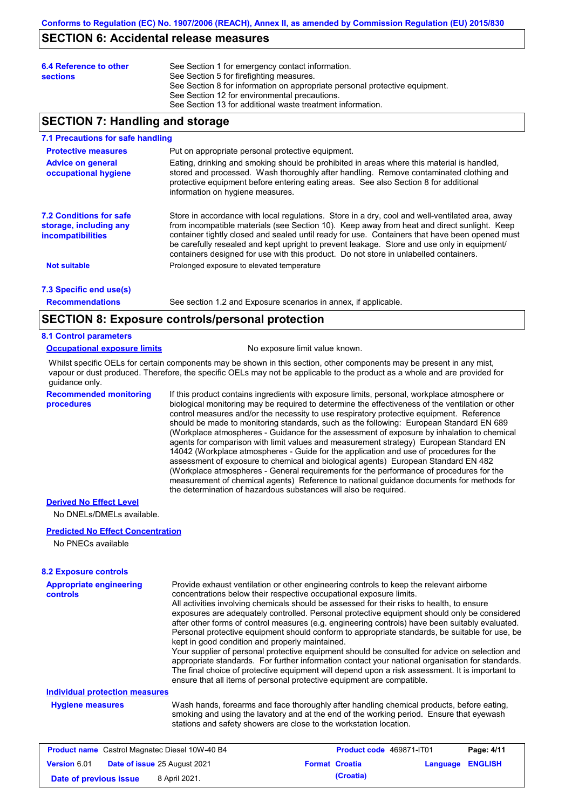## **SECTION 6: Accidental release measures**

| 6.4 Reference to other<br>See Section 1 for emergency contact information.<br>See Section 5 for firefighting measures.<br><b>sections</b><br>See Section 8 for information on appropriate personal protective equipment.<br>See Section 12 for environmental precautions.<br>See Section 13 for additional waste treatment information. |  |  |
|-----------------------------------------------------------------------------------------------------------------------------------------------------------------------------------------------------------------------------------------------------------------------------------------------------------------------------------------|--|--|
|-----------------------------------------------------------------------------------------------------------------------------------------------------------------------------------------------------------------------------------------------------------------------------------------------------------------------------------------|--|--|

## **SECTION 7: Handling and storage**

#### **7.1 Precautions for safe handling**

| <b>Protective measures</b><br><b>Advice on general</b><br>occupational hygiene       | Put on appropriate personal protective equipment.<br>Eating, drinking and smoking should be prohibited in areas where this material is handled,<br>stored and processed. Wash thoroughly after handling. Remove contaminated clothing and<br>protective equipment before entering eating areas. See also Section 8 for additional<br>information on hygiene measures.                                                                                                                    |
|--------------------------------------------------------------------------------------|------------------------------------------------------------------------------------------------------------------------------------------------------------------------------------------------------------------------------------------------------------------------------------------------------------------------------------------------------------------------------------------------------------------------------------------------------------------------------------------|
| <b>7.2 Conditions for safe</b><br>storage, including any<br><i>incompatibilities</i> | Store in accordance with local requiations. Store in a dry, cool and well-ventilated area, away<br>from incompatible materials (see Section 10). Keep away from heat and direct sunlight. Keep<br>container tightly closed and sealed until ready for use. Containers that have been opened must<br>be carefully resealed and kept upright to prevent leakage. Store and use only in equipment/<br>containers designed for use with this product. Do not store in unlabelled containers. |
| <b>Not suitable</b>                                                                  | Prolonged exposure to elevated temperature                                                                                                                                                                                                                                                                                                                                                                                                                                               |
| 7.3 Specific end use(s)                                                              |                                                                                                                                                                                                                                                                                                                                                                                                                                                                                          |

**Recommendations**

See section 1.2 and Exposure scenarios in annex, if applicable.

## **SECTION 8: Exposure controls/personal protection**

### **8.1 Control parameters**

#### **Occupational exposure limits** No exposure limit value known.

Whilst specific OELs for certain components may be shown in this section, other components may be present in any mist, vapour or dust produced. Therefore, the specific OELs may not be applicable to the product as a whole and are provided for guidance only.

**Recommended monitoring procedures**

If this product contains ingredients with exposure limits, personal, workplace atmosphere or biological monitoring may be required to determine the effectiveness of the ventilation or other control measures and/or the necessity to use respiratory protective equipment. Reference should be made to monitoring standards, such as the following: European Standard EN 689 (Workplace atmospheres - Guidance for the assessment of exposure by inhalation to chemical agents for comparison with limit values and measurement strategy) European Standard EN 14042 (Workplace atmospheres - Guide for the application and use of procedures for the assessment of exposure to chemical and biological agents) European Standard EN 482 (Workplace atmospheres - General requirements for the performance of procedures for the measurement of chemical agents) Reference to national guidance documents for methods for the determination of hazardous substances will also be required.

### **Derived No Effect Level**

No DNELs/DMELs available.

### **Predicted No Effect Concentration**

No PNECs available

### **8.2 Exposure controls**

| <b>Appropriate engineering</b><br><b>controls</b>     | Provide exhaust ventilation or other engineering controls to keep the relevant airborne<br>concentrations below their respective occupational exposure limits.<br>All activities involving chemicals should be assessed for their risks to health, to ensure<br>exposures are adequately controlled. Personal protective equipment should only be considered<br>after other forms of control measures (e.g. engineering controls) have been suitably evaluated.<br>Personal protective equipment should conform to appropriate standards, be suitable for use, be<br>kept in good condition and properly maintained.<br>Your supplier of personal protective equipment should be consulted for advice on selection and<br>appropriate standards. For further information contact your national organisation for standards.<br>The final choice of protective equipment will depend upon a risk assessment. It is important to<br>ensure that all items of personal protective equipment are compatible. |                                 |              |
|-------------------------------------------------------|---------------------------------------------------------------------------------------------------------------------------------------------------------------------------------------------------------------------------------------------------------------------------------------------------------------------------------------------------------------------------------------------------------------------------------------------------------------------------------------------------------------------------------------------------------------------------------------------------------------------------------------------------------------------------------------------------------------------------------------------------------------------------------------------------------------------------------------------------------------------------------------------------------------------------------------------------------------------------------------------------------|---------------------------------|--------------|
| <b>Individual protection measures</b>                 |                                                                                                                                                                                                                                                                                                                                                                                                                                                                                                                                                                                                                                                                                                                                                                                                                                                                                                                                                                                                         |                                 |              |
| <b>Hygiene measures</b>                               | Wash hands, forearms and face thoroughly after handling chemical products, before eating,<br>smoking and using the lavatory and at the end of the working period. Ensure that eyewash<br>stations and safety showers are close to the workstation location.                                                                                                                                                                                                                                                                                                                                                                                                                                                                                                                                                                                                                                                                                                                                             |                                 |              |
| <b>Product name</b> Castrol Magnatec Diesel 10W-40 B4 |                                                                                                                                                                                                                                                                                                                                                                                                                                                                                                                                                                                                                                                                                                                                                                                                                                                                                                                                                                                                         | <b>Product code</b> 469871-JT01 | Page: $4/11$ |

|                        | <b>Product name</b> Castrol Magnatec Diesel 10W-40 B4 | Product code 469871-IT01 |                         | Page: 4/11 |
|------------------------|-------------------------------------------------------|--------------------------|-------------------------|------------|
| <b>Version 6.01</b>    | <b>Date of issue 25 August 2021</b>                   | <b>Format Croatia</b>    | <b>Language ENGLISH</b> |            |
| Date of previous issue | 8 April 2021.                                         | (Croatia)                |                         |            |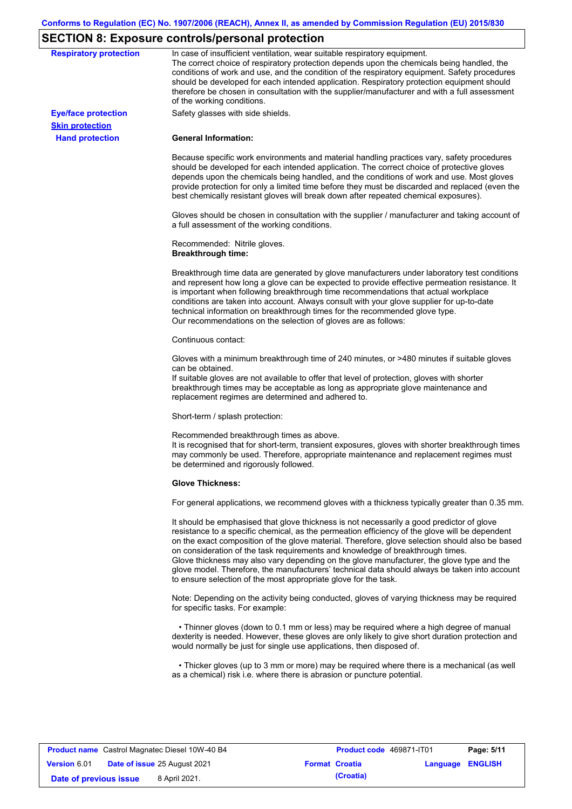# **SECTION 8: Exposure controls/personal protection**

| <b>Respiratory protection</b> | In case of insufficient ventilation, wear suitable respiratory equipment.<br>The correct choice of respiratory protection depends upon the chemicals being handled, the<br>conditions of work and use, and the condition of the respiratory equipment. Safety procedures<br>should be developed for each intended application. Respiratory protection equipment should<br>therefore be chosen in consultation with the supplier/manufacturer and with a full assessment<br>of the working conditions.                                                                                                                                             |
|-------------------------------|---------------------------------------------------------------------------------------------------------------------------------------------------------------------------------------------------------------------------------------------------------------------------------------------------------------------------------------------------------------------------------------------------------------------------------------------------------------------------------------------------------------------------------------------------------------------------------------------------------------------------------------------------|
| <b>Eye/face protection</b>    | Safety glasses with side shields.                                                                                                                                                                                                                                                                                                                                                                                                                                                                                                                                                                                                                 |
| <b>Skin protection</b>        |                                                                                                                                                                                                                                                                                                                                                                                                                                                                                                                                                                                                                                                   |
| <b>Hand protection</b>        | <b>General Information:</b>                                                                                                                                                                                                                                                                                                                                                                                                                                                                                                                                                                                                                       |
|                               | Because specific work environments and material handling practices vary, safety procedures<br>should be developed for each intended application. The correct choice of protective gloves<br>depends upon the chemicals being handled, and the conditions of work and use. Most gloves<br>provide protection for only a limited time before they must be discarded and replaced (even the<br>best chemically resistant gloves will break down after repeated chemical exposures).                                                                                                                                                                  |
|                               | Gloves should be chosen in consultation with the supplier / manufacturer and taking account of<br>a full assessment of the working conditions.                                                                                                                                                                                                                                                                                                                                                                                                                                                                                                    |
|                               | Recommended: Nitrile gloves.<br><b>Breakthrough time:</b>                                                                                                                                                                                                                                                                                                                                                                                                                                                                                                                                                                                         |
|                               | Breakthrough time data are generated by glove manufacturers under laboratory test conditions<br>and represent how long a glove can be expected to provide effective permeation resistance. It<br>is important when following breakthrough time recommendations that actual workplace<br>conditions are taken into account. Always consult with your glove supplier for up-to-date<br>technical information on breakthrough times for the recommended glove type.<br>Our recommendations on the selection of gloves are as follows:                                                                                                                |
|                               | Continuous contact:                                                                                                                                                                                                                                                                                                                                                                                                                                                                                                                                                                                                                               |
|                               | Gloves with a minimum breakthrough time of 240 minutes, or >480 minutes if suitable gloves<br>can be obtained.<br>If suitable gloves are not available to offer that level of protection, gloves with shorter<br>breakthrough times may be acceptable as long as appropriate glove maintenance and                                                                                                                                                                                                                                                                                                                                                |
|                               | replacement regimes are determined and adhered to.<br>Short-term / splash protection:                                                                                                                                                                                                                                                                                                                                                                                                                                                                                                                                                             |
|                               |                                                                                                                                                                                                                                                                                                                                                                                                                                                                                                                                                                                                                                                   |
|                               | Recommended breakthrough times as above.<br>It is recognised that for short-term, transient exposures, gloves with shorter breakthrough times<br>may commonly be used. Therefore, appropriate maintenance and replacement regimes must<br>be determined and rigorously followed.                                                                                                                                                                                                                                                                                                                                                                  |
|                               | <b>Glove Thickness:</b>                                                                                                                                                                                                                                                                                                                                                                                                                                                                                                                                                                                                                           |
|                               | For general applications, we recommend gloves with a thickness typically greater than 0.35 mm.                                                                                                                                                                                                                                                                                                                                                                                                                                                                                                                                                    |
|                               | It should be emphasised that glove thickness is not necessarily a good predictor of glove<br>resistance to a specific chemical, as the permeation efficiency of the glove will be dependent<br>on the exact composition of the glove material. Therefore, glove selection should also be based<br>on consideration of the task requirements and knowledge of breakthrough times.<br>Glove thickness may also vary depending on the glove manufacturer, the glove type and the<br>glove model. Therefore, the manufacturers' technical data should always be taken into account<br>to ensure selection of the most appropriate glove for the task. |
|                               | Note: Depending on the activity being conducted, gloves of varying thickness may be required<br>for specific tasks. For example:                                                                                                                                                                                                                                                                                                                                                                                                                                                                                                                  |
|                               | • Thinner gloves (down to 0.1 mm or less) may be required where a high degree of manual<br>dexterity is needed. However, these gloves are only likely to give short duration protection and<br>would normally be just for single use applications, then disposed of.                                                                                                                                                                                                                                                                                                                                                                              |
|                               | • Thicker gloves (up to 3 mm or more) may be required where there is a mechanical (as well<br>as a chemical) risk i.e. where there is abrasion or puncture potential.                                                                                                                                                                                                                                                                                                                                                                                                                                                                             |

|                        | <b>Product name</b> Castrol Magnatec Diesel 10W-40 B4 |                       | <b>Product code</b> 469871-IT01 |                  | Page: 5/11 |
|------------------------|-------------------------------------------------------|-----------------------|---------------------------------|------------------|------------|
| <b>Version 6.01</b>    | <b>Date of issue 25 August 2021</b>                   | <b>Format Croatia</b> |                                 | Language ENGLISH |            |
| Date of previous issue | 8 April 2021.                                         |                       | (Croatia)                       |                  |            |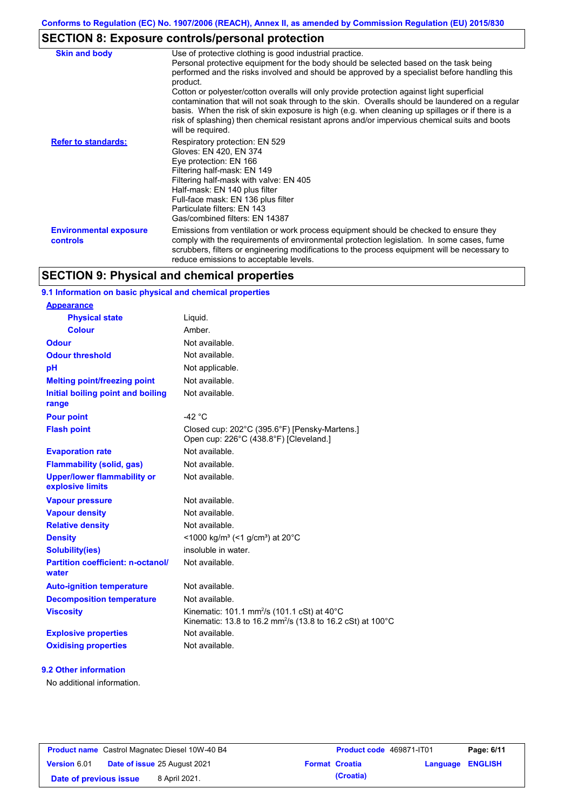# **SECTION 8: Exposure controls/personal protection**

| <b>Skin and body</b>                      | Use of protective clothing is good industrial practice.<br>Personal protective equipment for the body should be selected based on the task being<br>performed and the risks involved and should be approved by a specialist before handling this<br>product.<br>Cotton or polyester/cotton overalls will only provide protection against light superficial<br>contamination that will not soak through to the skin. Overalls should be laundered on a regular<br>basis. When the risk of skin exposure is high (e.g. when cleaning up spillages or if there is a<br>risk of splashing) then chemical resistant aprons and/or impervious chemical suits and boots<br>will be required. |
|-------------------------------------------|---------------------------------------------------------------------------------------------------------------------------------------------------------------------------------------------------------------------------------------------------------------------------------------------------------------------------------------------------------------------------------------------------------------------------------------------------------------------------------------------------------------------------------------------------------------------------------------------------------------------------------------------------------------------------------------|
| <b>Refer to standards:</b>                | Respiratory protection: EN 529<br>Gloves: EN 420, EN 374<br>Eye protection: EN 166<br>Filtering half-mask: EN 149<br>Filtering half-mask with valve: EN 405<br>Half-mask: EN 140 plus filter<br>Full-face mask: EN 136 plus filter<br>Particulate filters: EN 143<br>Gas/combined filters: EN 14387                                                                                                                                                                                                                                                                                                                                                                                   |
| <b>Environmental exposure</b><br>controls | Emissions from ventilation or work process equipment should be checked to ensure they<br>comply with the requirements of environmental protection legislation. In some cases, fume<br>scrubbers, filters or engineering modifications to the process equipment will be necessary to<br>reduce emissions to acceptable levels.                                                                                                                                                                                                                                                                                                                                                         |

## **SECTION 9: Physical and chemical properties**

## **9.1 Information on basic physical and chemical properties**

| <b>Appearance</b>                                      |                                                                                                                                              |
|--------------------------------------------------------|----------------------------------------------------------------------------------------------------------------------------------------------|
| <b>Physical state</b>                                  | Liquid.                                                                                                                                      |
| <b>Colour</b>                                          | Amber.                                                                                                                                       |
| <b>Odour</b>                                           | Not available.                                                                                                                               |
| <b>Odour threshold</b>                                 | Not available.                                                                                                                               |
| pH                                                     | Not applicable.                                                                                                                              |
| <b>Melting point/freezing point</b>                    | Not available                                                                                                                                |
| Initial boiling point and boiling<br>range             | Not available.                                                                                                                               |
| <b>Pour point</b>                                      | $-42$ °C                                                                                                                                     |
| <b>Flash point</b>                                     | Closed cup: 202°C (395.6°F) [Pensky-Martens.]<br>Open cup: 226°C (438.8°F) [Cleveland.]                                                      |
| <b>Evaporation rate</b>                                | Not available                                                                                                                                |
| <b>Flammability (solid, gas)</b>                       | Not available.                                                                                                                               |
| <b>Upper/lower flammability or</b><br>explosive limits | Not available.                                                                                                                               |
| <b>Vapour pressure</b>                                 | Not available.                                                                                                                               |
| <b>Vapour density</b>                                  | Not available.                                                                                                                               |
| <b>Relative density</b>                                | Not available.                                                                                                                               |
| <b>Density</b>                                         | <1000 kg/m <sup>3</sup> (<1 g/cm <sup>3</sup> ) at 20 <sup>°</sup> C                                                                         |
| <b>Solubility(ies)</b>                                 | insoluble in water.                                                                                                                          |
| <b>Partition coefficient: n-octanol/</b><br>water      | Not available.                                                                                                                               |
| <b>Auto-ignition temperature</b>                       | Not available.                                                                                                                               |
| <b>Decomposition temperature</b>                       | Not available.                                                                                                                               |
| <b>Viscosity</b>                                       | Kinematic: 101.1 mm <sup>2</sup> /s (101.1 cSt) at 40 $^{\circ}$ C<br>Kinematic: 13.8 to 16.2 mm <sup>2</sup> /s (13.8 to 16.2 cSt) at 100°C |
| <b>Explosive properties</b>                            | Not available.                                                                                                                               |
| <b>Oxidising properties</b>                            | Not available.                                                                                                                               |

## **9.2 Other information**

No additional information.

| <b>Product name</b> Castrol Magnatec Diesel 10W-40 B4 |  |                                     | <b>Product code</b> 469871-IT01 |                       | Page: 6/11              |  |
|-------------------------------------------------------|--|-------------------------------------|---------------------------------|-----------------------|-------------------------|--|
| <b>Version 6.01</b>                                   |  | <b>Date of issue 25 August 2021</b> |                                 | <b>Format Croatia</b> | <b>Language ENGLISH</b> |  |
| Date of previous issue                                |  | 8 April 2021.                       |                                 | (Croatia)             |                         |  |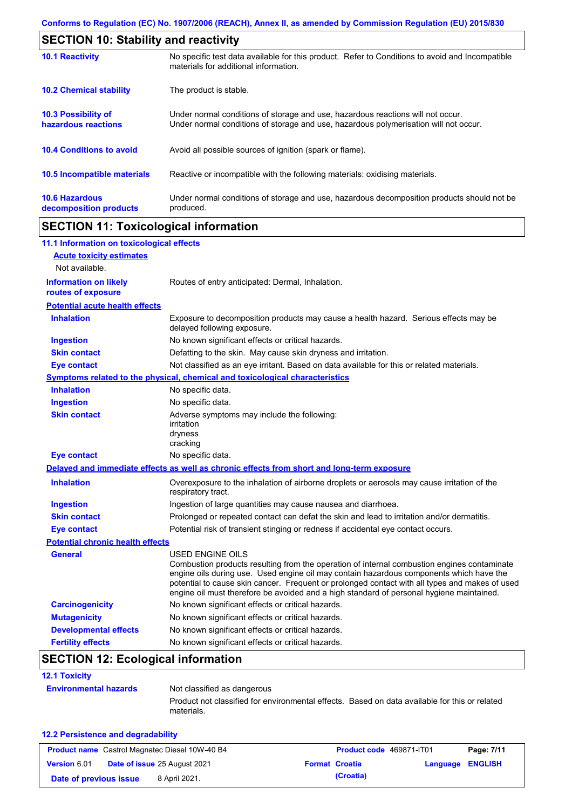| <b>SECTION 10: Stability and reactivity</b>       |                                                                                                                                                                         |  |  |
|---------------------------------------------------|-------------------------------------------------------------------------------------------------------------------------------------------------------------------------|--|--|
| <b>10.1 Reactivity</b>                            | No specific test data available for this product. Refer to Conditions to avoid and Incompatible<br>materials for additional information.                                |  |  |
| <b>10.2 Chemical stability</b>                    | The product is stable.                                                                                                                                                  |  |  |
| <b>10.3 Possibility of</b><br>hazardous reactions | Under normal conditions of storage and use, hazardous reactions will not occur.<br>Under normal conditions of storage and use, hazardous polymerisation will not occur. |  |  |
| <b>10.4 Conditions to avoid</b>                   | Avoid all possible sources of ignition (spark or flame).                                                                                                                |  |  |
| <b>10.5 Incompatible materials</b>                | Reactive or incompatible with the following materials: oxidising materials.                                                                                             |  |  |
| <b>10.6 Hazardous</b><br>decomposition products   | Under normal conditions of storage and use, hazardous decomposition products should not be<br>produced.                                                                 |  |  |

# **SECTION 11: Toxicological information**

| 11.1 Information on toxicological effects          |                                                                                                                                                                                                                                                                                                                                                                                                                 |
|----------------------------------------------------|-----------------------------------------------------------------------------------------------------------------------------------------------------------------------------------------------------------------------------------------------------------------------------------------------------------------------------------------------------------------------------------------------------------------|
| <b>Acute toxicity estimates</b>                    |                                                                                                                                                                                                                                                                                                                                                                                                                 |
| Not available.                                     |                                                                                                                                                                                                                                                                                                                                                                                                                 |
| <b>Information on likely</b><br>routes of exposure | Routes of entry anticipated: Dermal, Inhalation.                                                                                                                                                                                                                                                                                                                                                                |
| <b>Potential acute health effects</b>              |                                                                                                                                                                                                                                                                                                                                                                                                                 |
| <b>Inhalation</b>                                  | Exposure to decomposition products may cause a health hazard. Serious effects may be<br>delayed following exposure.                                                                                                                                                                                                                                                                                             |
| <b>Ingestion</b>                                   | No known significant effects or critical hazards.                                                                                                                                                                                                                                                                                                                                                               |
| <b>Skin contact</b>                                | Defatting to the skin. May cause skin dryness and irritation.                                                                                                                                                                                                                                                                                                                                                   |
| <b>Eye contact</b>                                 | Not classified as an eye irritant. Based on data available for this or related materials.                                                                                                                                                                                                                                                                                                                       |
|                                                    | Symptoms related to the physical, chemical and toxicological characteristics                                                                                                                                                                                                                                                                                                                                    |
| <b>Inhalation</b>                                  | No specific data.                                                                                                                                                                                                                                                                                                                                                                                               |
| <b>Ingestion</b>                                   | No specific data.                                                                                                                                                                                                                                                                                                                                                                                               |
| <b>Skin contact</b>                                | Adverse symptoms may include the following:<br>irritation<br>dryness<br>cracking                                                                                                                                                                                                                                                                                                                                |
| <b>Eye contact</b>                                 | No specific data.                                                                                                                                                                                                                                                                                                                                                                                               |
|                                                    | Delayed and immediate effects as well as chronic effects from short and long-term exposure                                                                                                                                                                                                                                                                                                                      |
| <b>Inhalation</b>                                  | Overexposure to the inhalation of airborne droplets or aerosols may cause irritation of the<br>respiratory tract.                                                                                                                                                                                                                                                                                               |
| <b>Ingestion</b>                                   | Ingestion of large quantities may cause nausea and diarrhoea.                                                                                                                                                                                                                                                                                                                                                   |
| <b>Skin contact</b>                                | Prolonged or repeated contact can defat the skin and lead to irritation and/or dermatitis.                                                                                                                                                                                                                                                                                                                      |
| <b>Eye contact</b>                                 | Potential risk of transient stinging or redness if accidental eye contact occurs.                                                                                                                                                                                                                                                                                                                               |
| <b>Potential chronic health effects</b>            |                                                                                                                                                                                                                                                                                                                                                                                                                 |
| <b>General</b>                                     | <b>USED ENGINE OILS</b><br>Combustion products resulting from the operation of internal combustion engines contaminate<br>engine oils during use. Used engine oil may contain hazardous components which have the<br>potential to cause skin cancer. Frequent or prolonged contact with all types and makes of used<br>engine oil must therefore be avoided and a high standard of personal hygiene maintained. |
| <b>Carcinogenicity</b>                             | No known significant effects or critical hazards.                                                                                                                                                                                                                                                                                                                                                               |
| <b>Mutagenicity</b>                                | No known significant effects or critical hazards.                                                                                                                                                                                                                                                                                                                                                               |
| <b>Developmental effects</b>                       | No known significant effects or critical hazards.                                                                                                                                                                                                                                                                                                                                                               |
| <b>Fertility effects</b>                           |                                                                                                                                                                                                                                                                                                                                                                                                                 |

# **SECTION 12: Ecological information**

| <b>12.1 Toxicity</b>         |                                                                                                             |  |
|------------------------------|-------------------------------------------------------------------------------------------------------------|--|
| <b>Environmental hazards</b> | Not classified as dangerous                                                                                 |  |
|                              | Product not classified for environmental effects. Based on data available for this or related<br>materials. |  |

### **12.2 Persistence and degradability**

|                        | <b>Product name</b> Castrol Magnatec Diesel 10W-40 B4 | <b>Product code</b> 469871-IT01 |                         | Page: 7/11 |
|------------------------|-------------------------------------------------------|---------------------------------|-------------------------|------------|
| <b>Version 6.01</b>    | <b>Date of issue 25 August 2021</b>                   | <b>Format Croatia</b>           | <b>Language ENGLISH</b> |            |
| Date of previous issue | 8 April 2021.                                         | (Croatia)                       |                         |            |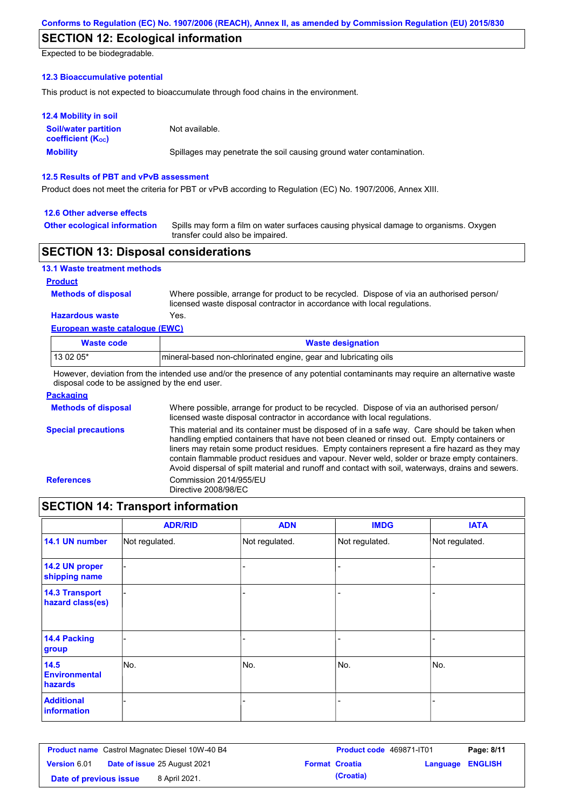## **SECTION 12: Ecological information**

Expected to be biodegradable.

### **12.3 Bioaccumulative potential**

This product is not expected to bioaccumulate through food chains in the environment.

| <b>12.4 Mobility in soil</b>                            |                                                                      |
|---------------------------------------------------------|----------------------------------------------------------------------|
| <b>Soil/water partition</b><br><b>coefficient (Koc)</b> | Not available.                                                       |
| <b>Mobility</b>                                         | Spillages may penetrate the soil causing ground water contamination. |

### **12.5 Results of PBT and vPvB assessment**

Product does not meet the criteria for PBT or vPvB according to Regulation (EC) No. 1907/2006, Annex XIII.

### **12.6 Other adverse effects**

**Other ecological information**

Spills may form a film on water surfaces causing physical damage to organisms. Oxygen transfer could also be impaired.

## **SECTION 13: Disposal considerations**

| 13.1 Waste treatment methods |       |
|------------------------------|-------|
| <b>Product</b>               |       |
| <b>Methods of disposal</b>   | Where |

e possible, arrange for product to be recycled. Dispose of via an authorised person/ licensed waste disposal contractor in accordance with local regulations.

## **Hazardous waste** Yes.

| European waste catalogue (EWC) |                                                                  |  |  |  |
|--------------------------------|------------------------------------------------------------------|--|--|--|
| Waste code                     | <b>Waste designation</b>                                         |  |  |  |
| $130205*$                      | Imineral-based non-chlorinated engine, gear and lubricating oils |  |  |  |

However, deviation from the intended use and/or the presence of any potential contaminants may require an alternative waste disposal code to be assigned by the end user.

### **Packaging**

| <b>Methods of disposal</b> | Where possible, arrange for product to be recycled. Dispose of via an authorised person/<br>licensed waste disposal contractor in accordance with local regulations.                                                                                                                                                                                                                                                                                                                            |
|----------------------------|-------------------------------------------------------------------------------------------------------------------------------------------------------------------------------------------------------------------------------------------------------------------------------------------------------------------------------------------------------------------------------------------------------------------------------------------------------------------------------------------------|
| <b>Special precautions</b> | This material and its container must be disposed of in a safe way. Care should be taken when<br>handling emptied containers that have not been cleaned or rinsed out. Empty containers or<br>liners may retain some product residues. Empty containers represent a fire hazard as they may<br>contain flammable product residues and vapour. Never weld, solder or braze empty containers.<br>Avoid dispersal of spilt material and runoff and contact with soil, waterways, drains and sewers. |
| <b>References</b>          | Commission 2014/955/EU<br>Directive 2008/98/EC                                                                                                                                                                                                                                                                                                                                                                                                                                                  |

## **SECTION 14: Transport information**

|                                           | <b>ADR/RID</b> | <b>ADN</b>     | <b>IMDG</b>    | <b>IATA</b>    |
|-------------------------------------------|----------------|----------------|----------------|----------------|
| 14.1 UN number                            | Not regulated. | Not regulated. | Not regulated. | Not regulated. |
| 14.2 UN proper<br>shipping name           |                |                |                |                |
| <b>14.3 Transport</b><br>hazard class(es) |                |                |                |                |
| <b>14.4 Packing</b><br>group              |                |                |                |                |
| 14.5<br><b>Environmental</b><br>hazards   | No.            | No.            | No.            | No.            |
| <b>Additional</b><br>information          |                |                |                |                |

| <b>Product name</b> Castrol Magnatec Diesel 10W-40 B4 |  | Product code 469871-IT01            |  | Page: 8/11            |                         |  |
|-------------------------------------------------------|--|-------------------------------------|--|-----------------------|-------------------------|--|
| <b>Version 6.01</b>                                   |  | <b>Date of issue 25 August 2021</b> |  | <b>Format Croatia</b> | <b>Language ENGLISH</b> |  |
| Date of previous issue                                |  | 8 April 2021.                       |  | (Croatia)             |                         |  |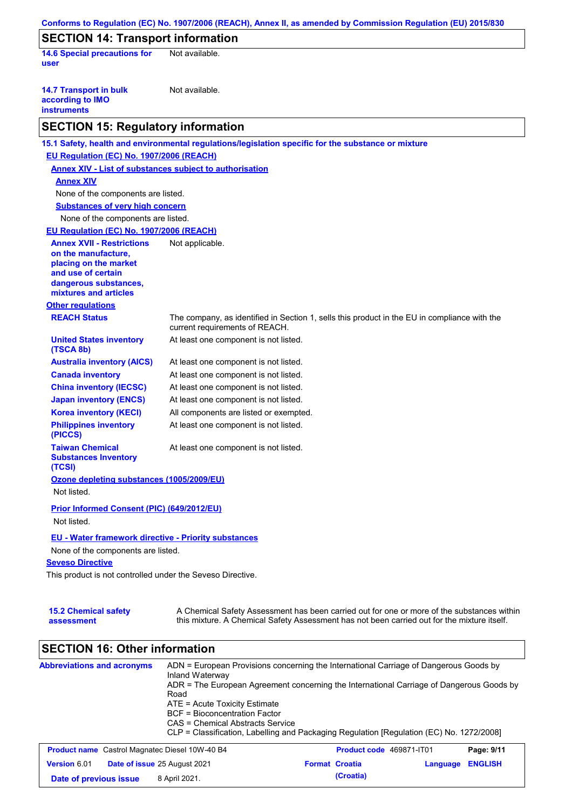| <b>SECTION 14: Transport information</b>                                                               |                                                                                                                                |
|--------------------------------------------------------------------------------------------------------|--------------------------------------------------------------------------------------------------------------------------------|
| <b>14.6 Special precautions for</b><br>user                                                            | Not available.                                                                                                                 |
| <b>14.7 Transport in bulk</b><br>according to IMO<br><b>instruments</b>                                | Not available.                                                                                                                 |
| <b>SECTION 15: Regulatory information</b>                                                              |                                                                                                                                |
|                                                                                                        | 15.1 Safety, health and environmental regulations/legislation specific for the substance or mixture                            |
| EU Regulation (EC) No. 1907/2006 (REACH)                                                               |                                                                                                                                |
| <b>Annex XIV - List of substances subject to authorisation</b>                                         |                                                                                                                                |
| <b>Annex XIV</b>                                                                                       |                                                                                                                                |
| None of the components are listed.                                                                     |                                                                                                                                |
| <b>Substances of very high concern</b>                                                                 |                                                                                                                                |
| None of the components are listed.                                                                     |                                                                                                                                |
| EU Regulation (EC) No. 1907/2006 (REACH)                                                               |                                                                                                                                |
| <b>Annex XVII - Restrictions</b><br>on the manufacture,<br>placing on the market<br>and use of certain | Not applicable.                                                                                                                |
| dangerous substances,<br>mixtures and articles                                                         |                                                                                                                                |
| <b>Other regulations</b>                                                                               |                                                                                                                                |
| <b>REACH Status</b>                                                                                    | The company, as identified in Section 1, sells this product in the EU in compliance with the<br>current requirements of REACH. |
| <b>United States inventory</b><br>(TSCA 8b)                                                            | At least one component is not listed.                                                                                          |
| <b>Australia inventory (AICS)</b>                                                                      | At least one component is not listed.                                                                                          |
| <b>Canada inventory</b>                                                                                | At least one component is not listed.                                                                                          |
| <b>China inventory (IECSC)</b>                                                                         | At least one component is not listed.                                                                                          |
| <b>Japan inventory (ENCS)</b>                                                                          | At least one component is not listed.                                                                                          |
| <b>Korea inventory (KECI)</b>                                                                          | All components are listed or exempted.                                                                                         |
| <b>Philippines inventory</b><br>(PICCS)                                                                | At least one component is not listed.                                                                                          |
| <b>Taiwan Chemical</b><br><b>Substances Inventory</b><br>(TCSI)                                        | At least one component is not listed.                                                                                          |
| Ozone depleting substances (1005/2009/EU)<br>Not listed.                                               |                                                                                                                                |
| Prior Informed Consent (PIC) (649/2012/EU)<br>Not listed.                                              |                                                                                                                                |
| EU - Water framework directive - Priority substances<br>None of the components are listed.             |                                                                                                                                |

| <b>15.2 Chemical safety</b> | A Chemical Safety Assessment has been carried out for one or more of the substances within  |
|-----------------------------|---------------------------------------------------------------------------------------------|
| assessment                  | this mixture. A Chemical Safety Assessment has not been carried out for the mixture itself. |

# **SECTION 16: Other information**

| <b>Abbreviations and acronyms</b>                     | ADN = European Provisions concerning the International Carriage of Dangerous Goods by<br>Inland Waterway<br>ADR = The European Agreement concerning the International Carriage of Dangerous Goods by<br>Road<br>ATE = Acute Toxicity Estimate<br><b>BCF</b> = Bioconcentration Factor<br>CAS = Chemical Abstracts Service<br>CLP = Classification, Labelling and Packaging Regulation [Regulation (EC) No. 1272/2008] |                       |                          |          |                |
|-------------------------------------------------------|-----------------------------------------------------------------------------------------------------------------------------------------------------------------------------------------------------------------------------------------------------------------------------------------------------------------------------------------------------------------------------------------------------------------------|-----------------------|--------------------------|----------|----------------|
| <b>Product name</b> Castrol Magnatec Diesel 10W-40 B4 |                                                                                                                                                                                                                                                                                                                                                                                                                       |                       | Product code 469871-IT01 |          | Page: 9/11     |
| Version 6.01                                          | Date of issue 25 August 2021                                                                                                                                                                                                                                                                                                                                                                                          | <b>Format Croatia</b> |                          | Language | <b>ENGLISH</b> |
| Date of previous issue                                | 8 April 2021.                                                                                                                                                                                                                                                                                                                                                                                                         |                       | (Croatia)                |          |                |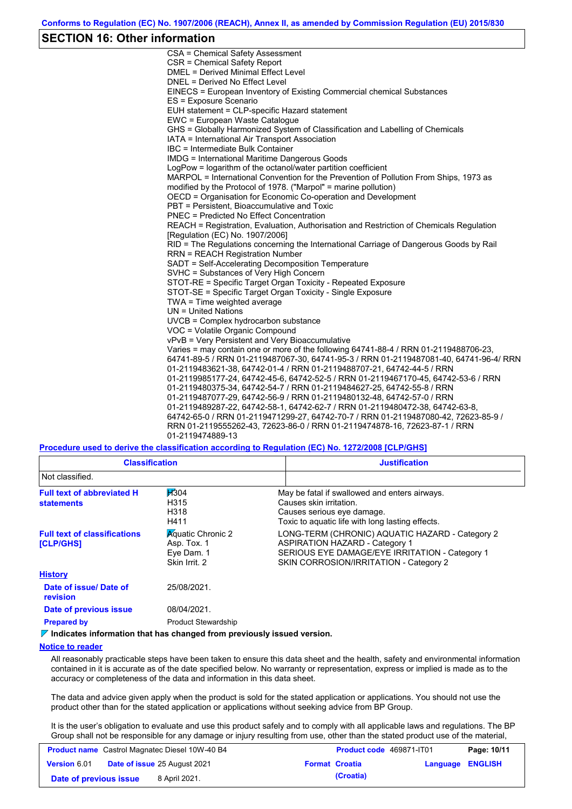## **SECTION 16: Other information**

CSA = Chemical Safety Assessment CSR = Chemical Safety Report DMEL = Derived Minimal Effect Level DNEL = Derived No Effect Level EINECS = European Inventory of Existing Commercial chemical Substances ES = Exposure Scenario EUH statement = CLP-specific Hazard statement EWC = European Waste Catalogue GHS = Globally Harmonized System of Classification and Labelling of Chemicals IATA = International Air Transport Association IBC = Intermediate Bulk Container IMDG = International Maritime Dangerous Goods LogPow = logarithm of the octanol/water partition coefficient MARPOL = International Convention for the Prevention of Pollution From Ships, 1973 as modified by the Protocol of 1978. ("Marpol" = marine pollution) OECD = Organisation for Economic Co-operation and Development PBT = Persistent, Bioaccumulative and Toxic PNEC = Predicted No Effect Concentration REACH = Registration, Evaluation, Authorisation and Restriction of Chemicals Regulation [Regulation (EC) No. 1907/2006] RID = The Regulations concerning the International Carriage of Dangerous Goods by Rail RRN = REACH Registration Number SADT = Self-Accelerating Decomposition Temperature SVHC = Substances of Very High Concern STOT-RE = Specific Target Organ Toxicity - Repeated Exposure STOT-SE = Specific Target Organ Toxicity - Single Exposure TWA = Time weighted average UN = United Nations UVCB = Complex hydrocarbon substance VOC = Volatile Organic Compound vPvB = Very Persistent and Very Bioaccumulative Varies = may contain one or more of the following 64741-88-4 / RRN 01-2119488706-23, 64741-89-5 / RRN 01-2119487067-30, 64741-95-3 / RRN 01-2119487081-40, 64741-96-4/ RRN 01-2119483621-38, 64742-01-4 / RRN 01-2119488707-21, 64742-44-5 / RRN 01-2119985177-24, 64742-45-6, 64742-52-5 / RRN 01-2119467170-45, 64742-53-6 / RRN 01-2119480375-34, 64742-54-7 / RRN 01-2119484627-25, 64742-55-8 / RRN 01-2119487077-29, 64742-56-9 / RRN 01-2119480132-48, 64742-57-0 / RRN 01-2119489287-22, 64742-58-1, 64742-62-7 / RRN 01-2119480472-38, 64742-63-8, 64742-65-0 / RRN 01-2119471299-27, 64742-70-7 / RRN 01-2119487080-42, 72623-85-9 / RRN 01-2119555262-43, 72623-86-0 / RRN 01-2119474878-16, 72623-87-1 / RRN 01-2119474889-13

**Procedure used to derive the classification according to Regulation (EC) No. 1272/2008 [CLP/GHS]**

| <b>Classification</b>                                   |                                                                        | <b>Justification</b>                                                                                                                                                                 |
|---------------------------------------------------------|------------------------------------------------------------------------|--------------------------------------------------------------------------------------------------------------------------------------------------------------------------------------|
| Not classified.                                         |                                                                        |                                                                                                                                                                                      |
| <b>Full text of abbreviated H</b><br><b>statements</b>  | H304<br>H315<br>H318<br>H411                                           | May be fatal if swallowed and enters airways.<br>Causes skin irritation.<br>Causes serious eye damage.<br>Toxic to aquatic life with long lasting effects.                           |
| <b>Full text of classifications</b><br><b>[CLP/GHS]</b> | <b>Aguatic Chronic 2</b><br>Asp. Tox. 1<br>Eye Dam. 1<br>Skin Irrit. 2 | LONG-TERM (CHRONIC) AQUATIC HAZARD - Category 2<br><b>ASPIRATION HAZARD - Category 1</b><br>SERIOUS EYE DAMAGE/EYE IRRITATION - Category 1<br>SKIN CORROSION/IRRITATION - Category 2 |
| <b>History</b>                                          |                                                                        |                                                                                                                                                                                      |
| Date of issue/Date of<br>revision                       | 25/08/2021.                                                            |                                                                                                                                                                                      |
| Date of previous issue                                  | 08/04/2021.                                                            |                                                                                                                                                                                      |
| <b>Prepared by</b>                                      | <b>Product Stewardship</b>                                             |                                                                                                                                                                                      |

#### *I* Indicates information that has changed from previously issued version.

### **Notice to reader**

All reasonably practicable steps have been taken to ensure this data sheet and the health, safety and environmental information contained in it is accurate as of the date specified below. No warranty or representation, express or implied is made as to the accuracy or completeness of the data and information in this data sheet.

The data and advice given apply when the product is sold for the stated application or applications. You should not use the product other than for the stated application or applications without seeking advice from BP Group.

It is the user's obligation to evaluate and use this product safely and to comply with all applicable laws and regulations. The BP Group shall not be responsible for any damage or injury resulting from use, other than the stated product use of the material,

| <b>Product name</b> Castrol Magnatec Diesel 10W-40 B4 |  | <b>Product code</b> 469871-IT01     |  | Page: 10/11           |                  |  |
|-------------------------------------------------------|--|-------------------------------------|--|-----------------------|------------------|--|
| Version 6.01                                          |  | <b>Date of issue 25 August 2021</b> |  | <b>Format Croatia</b> | Language ENGLISH |  |
| Date of previous issue                                |  | 8 April 2021.                       |  | (Croatia)             |                  |  |